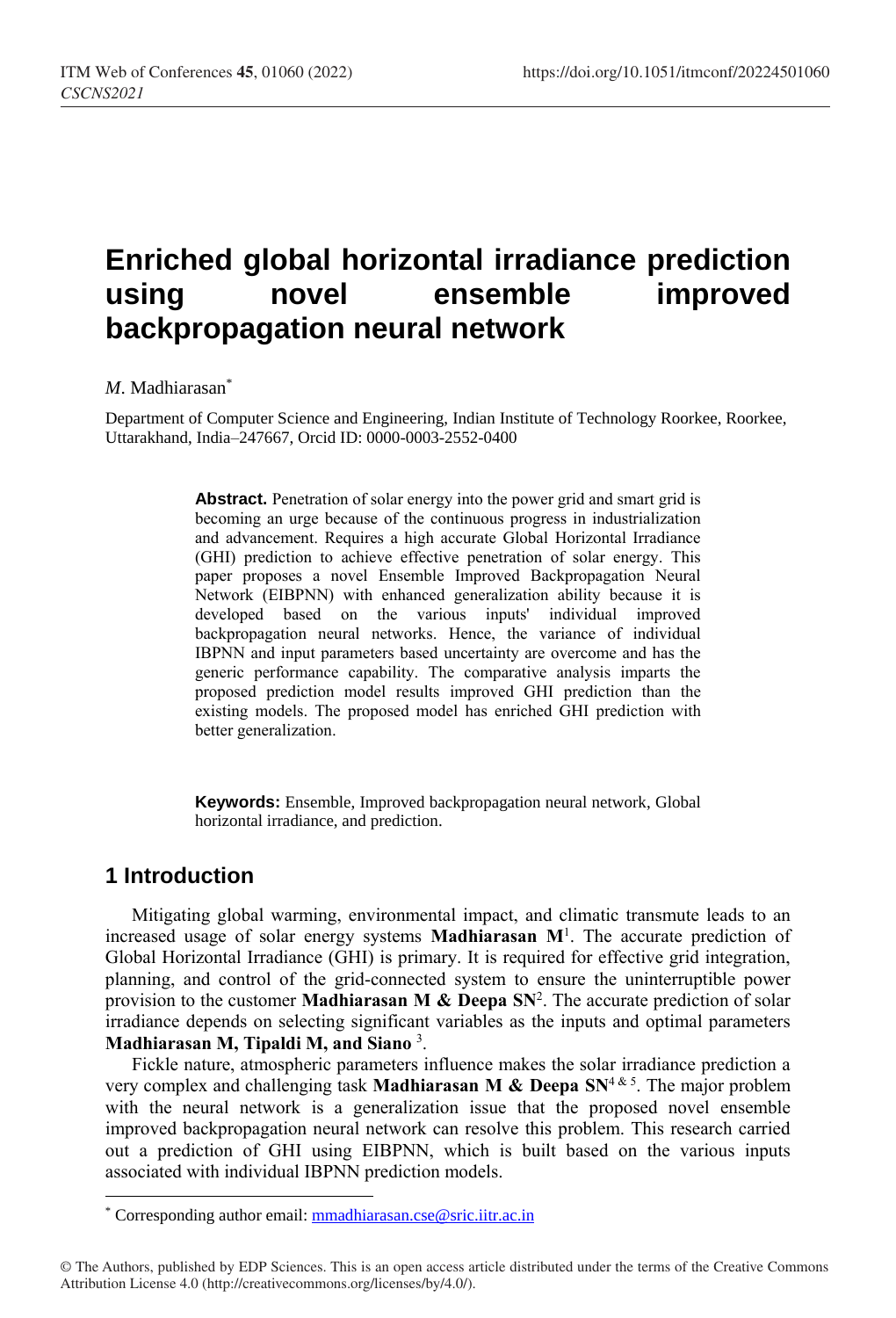# **Enriched global horizontal irradiance prediction using novel ensemble improved backpropagation neural network**

#### *M*. Madhiarasan\*

Department of Computer Science and Engineering, Indian Institute of Technology Roorkee, Roorkee, Uttarakhand, India–247667, Orcid ID: 0000-0003-2552-0400

> **Abstract.** Penetration of solar energy into the power grid and smart grid is becoming an urge because of the continuous progress in industrialization and advancement. Requires a high accurate Global Horizontal Irradiance (GHI) prediction to achieve effective penetration of solar energy. This paper proposes a novel Ensemble Improved Backpropagation Neural Network (EIBPNN) with enhanced generalization ability because it is developed based on the various inputs' individual improved backpropagation neural networks. Hence, the variance of individual IBPNN and input parameters based uncertainty are overcome and has the generic performance capability. The comparative analysis imparts the proposed prediction model results improved GHI prediction than the existing models. The proposed model has enriched GHI prediction with better generalization.

> **Keywords:** Ensemble, Improved backpropagation neural network, Global horizontal irradiance, and prediction.

### **1 Introduction**

l

Mitigating global warming, environmental impact, and climatic transmute leads to an increased usage of solar energy systems **Madhiarasan M**<sup>1</sup> . The accurate prediction of Global Horizontal Irradiance (GHI) is primary. It is required for effective grid integration, planning, and control of the grid-connected system to ensure the uninterruptible power provision to the customer **Madhiarasan M & Deepa SN**<sup>2</sup> . The accurate prediction of solar irradiance depends on selecting significant variables as the inputs and optimal parameters **Madhiarasan M, Tipaldi M, and Siano** <sup>3</sup> .

Fickle nature, atmospheric parameters influence makes the solar irradiance prediction a very complex and challenging task **Madhiarasan M & Deepa SN**<sup>4</sup> & 5. The major problem with the neural network is a generalization issue that the proposed novel ensemble improved backpropagation neural network can resolve this problem. This research carried out a prediction of GHI using EIBPNN, which is built based on the various inputs associated with individual IBPNN prediction models.

<sup>\*</sup> Corresponding author email[: mmadhiarasan.cse@sric.iitr.ac.in](mailto:mmadhiarasan.cse@sric.iitr.ac.in)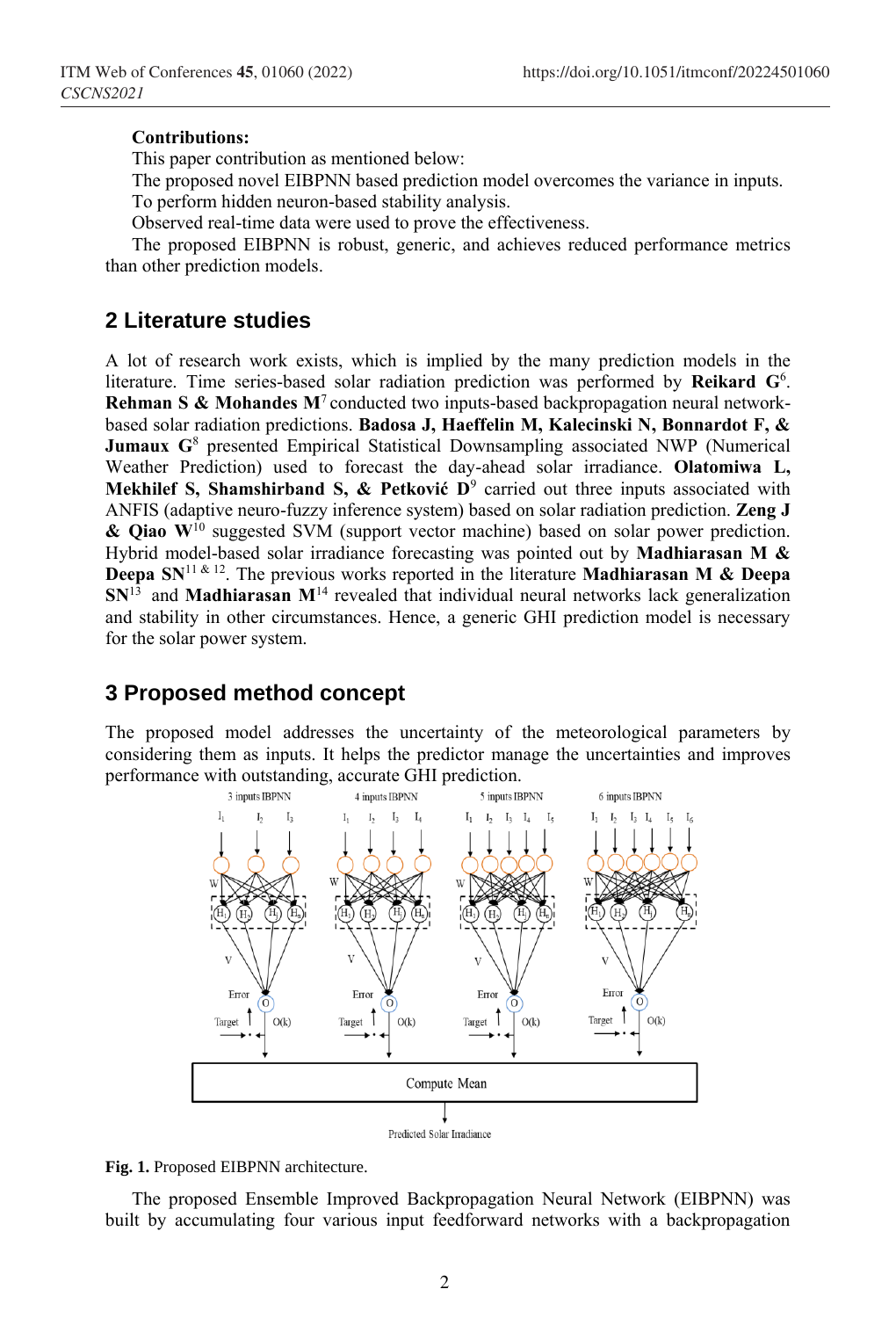#### **Contributions:**

This paper contribution as mentioned below:

The proposed novel EIBPNN based prediction model overcomes the variance in inputs. To perform hidden neuron-based stability analysis.

Observed real-time data were used to prove the effectiveness.

The proposed EIBPNN is robust, generic, and achieves reduced performance metrics than other prediction models.

#### **2 Literature studies**

A lot of research work exists, which is implied by the many prediction models in the literature. Time series-based solar radiation prediction was performed by **Reikard G**<sup>6</sup> . **Rehman S & Mohandes M<sup>7</sup>** conducted two inputs-based backpropagation neural networkbased solar radiation predictions. **Badosa J, Haeffelin M, Kalecinski N, Bonnardot F, & Jumaux G**<sup>8</sup> presented Empirical Statistical Downsampling associated NWP (Numerical Weather Prediction) used to forecast the day-ahead solar irradiance. **Olatomiwa L, Mekhilef S, Shamshirband S, & Petković D**<sup>9</sup> carried out three inputs associated with ANFIS (adaptive neuro-fuzzy inference system) based on solar radiation prediction. **Zeng J & Qiao W**<sup>10</sup> suggested SVM (support vector machine) based on solar power prediction. Hybrid model-based solar irradiance forecasting was pointed out by **Madhiarasan M & Deepa SN**<sup>11 & 12. The previous works reported in the literature **Madhiarasan M & Deepa**</sup>  $SN^{13}$  and **Madhiarasan**  $M^{14}$  revealed that individual neural networks lack generalization and stability in other circumstances. Hence, a generic GHI prediction model is necessary for the solar power system.

## **3 Proposed method concept**

The proposed model addresses the uncertainty of the meteorological parameters by considering them as inputs. It helps the predictor manage the uncertainties and improves performance with outstanding, accurate GHI prediction.





The proposed Ensemble Improved Backpropagation Neural Network (EIBPNN) was built by accumulating four various input feedforward networks with a backpropagation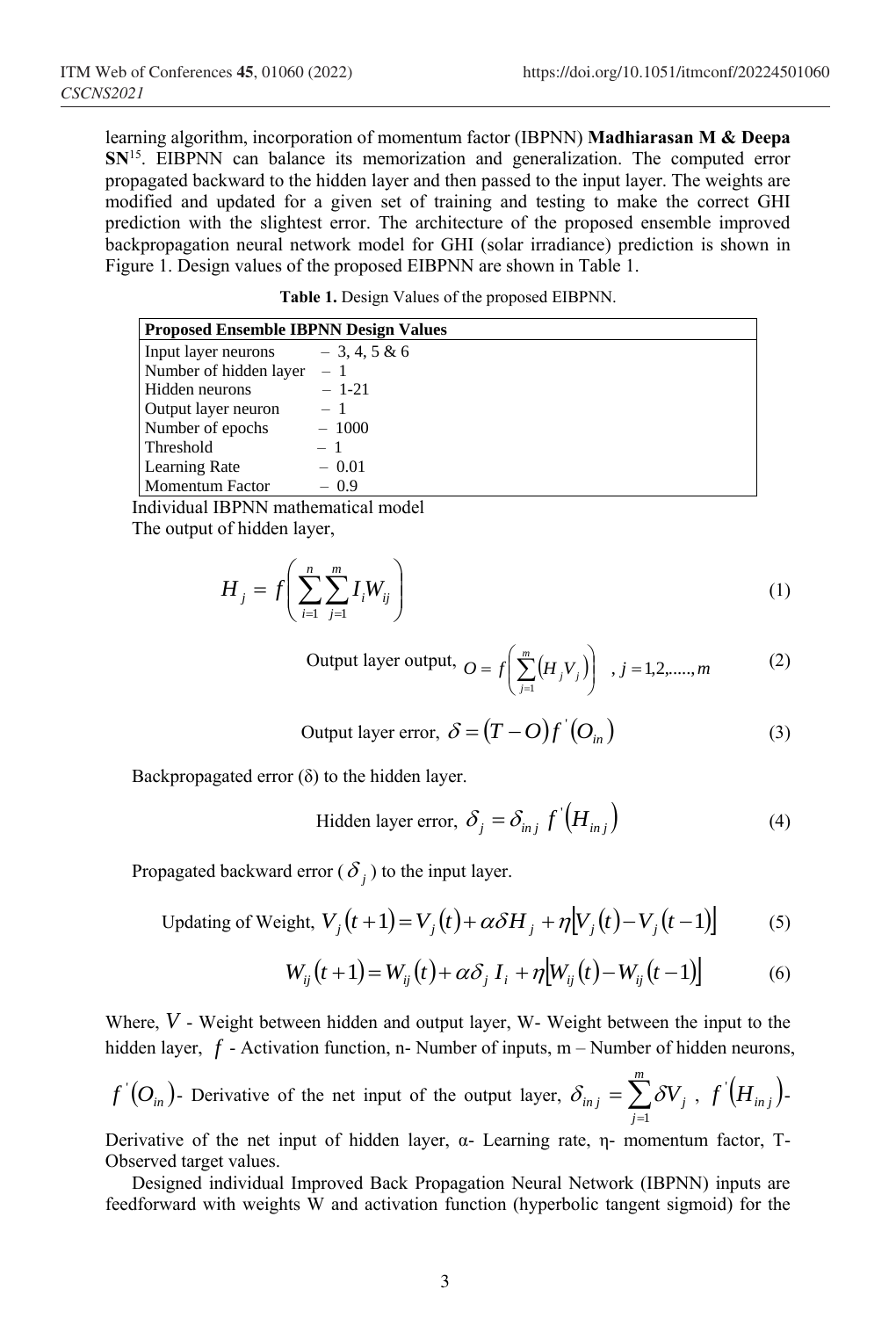learning algorithm, incorporation of momentum factor (IBPNN) **Madhiarasan M & Deepa SN**<sup>15</sup>. EIBPNN can balance its memorization and generalization. The computed error propagated backward to the hidden layer and then passed to the input layer. The weights are modified and updated for a given set of training and testing to make the correct GHI prediction with the slightest error. The architecture of the proposed ensemble improved backpropagation neural network model for GHI (solar irradiance) prediction is shown in Figure 1. Design values of the proposed EIBPNN are shown in Table 1.

|  |  | Table 1. Design Values of the proposed EIBPNN. |
|--|--|------------------------------------------------|
|  |  |                                                |

| <b>Proposed Ensemble IBPNN Design Values</b> |                |  |  |
|----------------------------------------------|----------------|--|--|
| Input layer neurons                          | $-3, 4, 5 & 6$ |  |  |
| Number of hidden layer                       | $-1$           |  |  |
| Hidden neurons                               | $-1-21$        |  |  |
| Output layer neuron                          | $-1$           |  |  |
| Number of epochs                             | $-1000$        |  |  |
| Threshold                                    | $-1$           |  |  |
| Learning Rate                                | $-0.01$        |  |  |
| <b>Momentum Factor</b>                       | $-0.9$         |  |  |

Individual IBPNN mathematical model The output of hidden layer,

$$
H_j = f\left(\sum_{i=1}^n \sum_{j=1}^m I_i W_{ij}\right) \tag{1}
$$

Output layer output, 
$$
O = f\left(\sum_{j=1}^{m} (H_j V_j)\right), j = 1, 2, \dots, m
$$
 (2)

Output layer error, 
$$
\delta = (T - O)f'(O_{in})
$$
 (3)

Backpropagated error  $(\delta)$  to the hidden layer.

$$
\text{Hidden layer error, } \delta_j = \delta_{inj} f'\left(H_{inj}\right) \tag{4}
$$

Propagated backward error  $(\delta_j)$  to the input layer.

Updating of Weight, 
$$
V_j(t+1) = V_j(t) + \alpha \delta H_j + \eta [V_j(t) - V_j(t-1)]
$$
 (5)

$$
W_{ij}(t+1) = W_{ij}(t) + \alpha \delta_j I_i + \eta [W_{ij}(t) - W_{ij}(t-1)] \tag{6}
$$

Where, *V* - Weight between hidden and output layer, W- Weight between the input to the hidden layer, f - Activation function, n- Number of inputs, m – Number of hidden neurons,

$$
f'(O_{in})
$$
- Derivative of the net input of the output layer,  $\delta_{inj} = \sum_{j=1}^{m} \delta V_j$ ,  $f'(H_{inj})$ .

Derivative of the net input of hidden layer,  $\alpha$ - Learning rate, η- momentum factor, T-Observed target values.

Designed individual Improved Back Propagation Neural Network (IBPNN) inputs are feedforward with weights W and activation function (hyperbolic tangent sigmoid) for the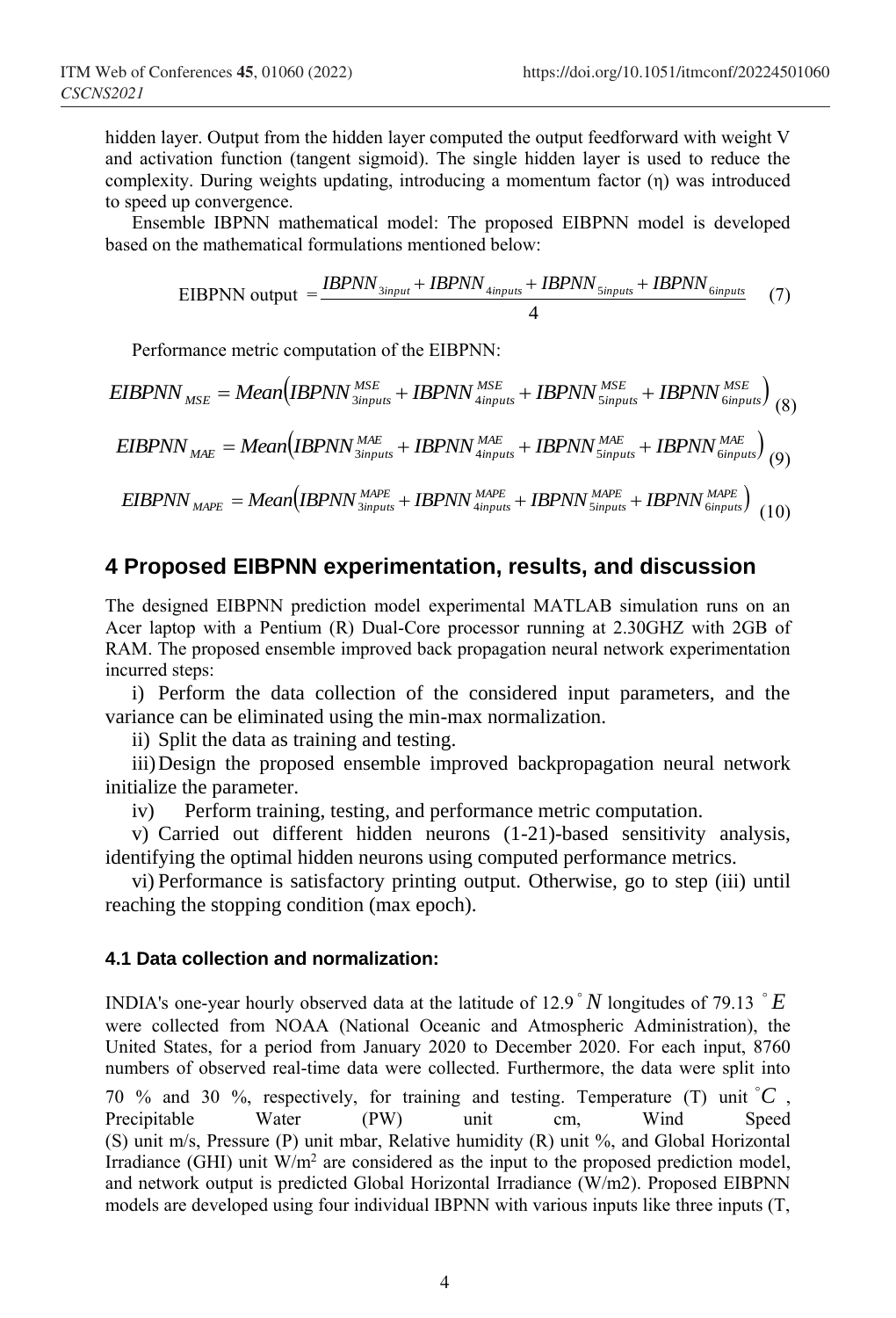hidden layer. Output from the hidden layer computed the output feedforward with weight V and activation function (tangent sigmoid). The single hidden layer is used to reduce the complexity. During weights updating, introducing a momentum factor (η) was introduced to speed up convergence.

Ensemble IBPNN mathematical model: The proposed EIBPNN model is developed based on the mathematical formulations mentioned below:

$$
EIBPNN output = \frac{IBPNN_{Sinput} + IBPNN_{4inputs} + IBPNN_{Sinputs} + IBPNN_{6inputs}}{4}
$$
 (7)

Performance metric computation of the EIBPNN:

$$
EIBPNNMSE = Mean (IBPNN3inputsMSE + IBPNN4inputsMSE + IBPNN5inputsMSE + IBPNN6inputsMSE)
$$
(8)

$$
EIBPNN_{\text{MAE}} = \text{Mean}\left(\text{IBPNN}_{\text{3inputs}}^{\text{MAE}} + \text{IBPNN}_{\text{4inputs}}^{\text{MAE}} + \text{IBPNN}_{\text{5inputs}}^{\text{MAE}} + \text{IBPNN}_{\text{6inputs}}^{\text{MAE}}\right)_{(9)}
$$

$$
EIBPNN_{MAPE} = Mean (IBPNN_{3inputs}^{MAPE} + IBPNN_{4inputs}^{MAPE} + IBPNN_{5inputs}^{MAPE} + IBPNN_{6inputs}^{MAPE})
$$
(10)

### **4 Proposed EIBPNN experimentation, results, and discussion**

The designed EIBPNN prediction model experimental MATLAB simulation runs on an Acer laptop with a Pentium (R) Dual-Core processor running at 2.30GHZ with 2GB of RAM. The proposed ensemble improved back propagation neural network experimentation incurred steps:

i) Perform the data collection of the considered input parameters, and the variance can be eliminated using the min-max normalization.

ii) Split the data as training and testing.

iii)Design the proposed ensemble improved backpropagation neural network initialize the parameter.

iv) Perform training, testing, and performance metric computation.

v) Carried out different hidden neurons (1-21)-based sensitivity analysis, identifying the optimal hidden neurons using computed performance metrics.

vi) Performance is satisfactory printing output. Otherwise, go to step (iii) until reaching the stopping condition (max epoch).

#### **4.1 Data collection and normalization:**

INDIA's one-year hourly observed data at the latitude of 12.9  $\degree N$  longitudes of 79.13  $\degree E$ were collected from NOAA (National Oceanic and Atmospheric Administration), the United States, for a period from January 2020 to December 2020. For each input, 8760 numbers of observed real-time data were collected. Furthermore, the data were split into

70 % and 30 %, respectively, for training and testing. Temperature (T) unit  ${}^{\circ}C$ , Precipitable Water (PW) unit cm, Wind Speed (S) unit m/s, Pressure (P) unit mbar, Relative humidity (R) unit %, and Global Horizontal Irradiance (GHI) unit  $W/m^2$  are considered as the input to the proposed prediction model, and network output is predicted Global Horizontal Irradiance (W/m2). Proposed EIBPNN models are developed using four individual IBPNN with various inputs like three inputs (T,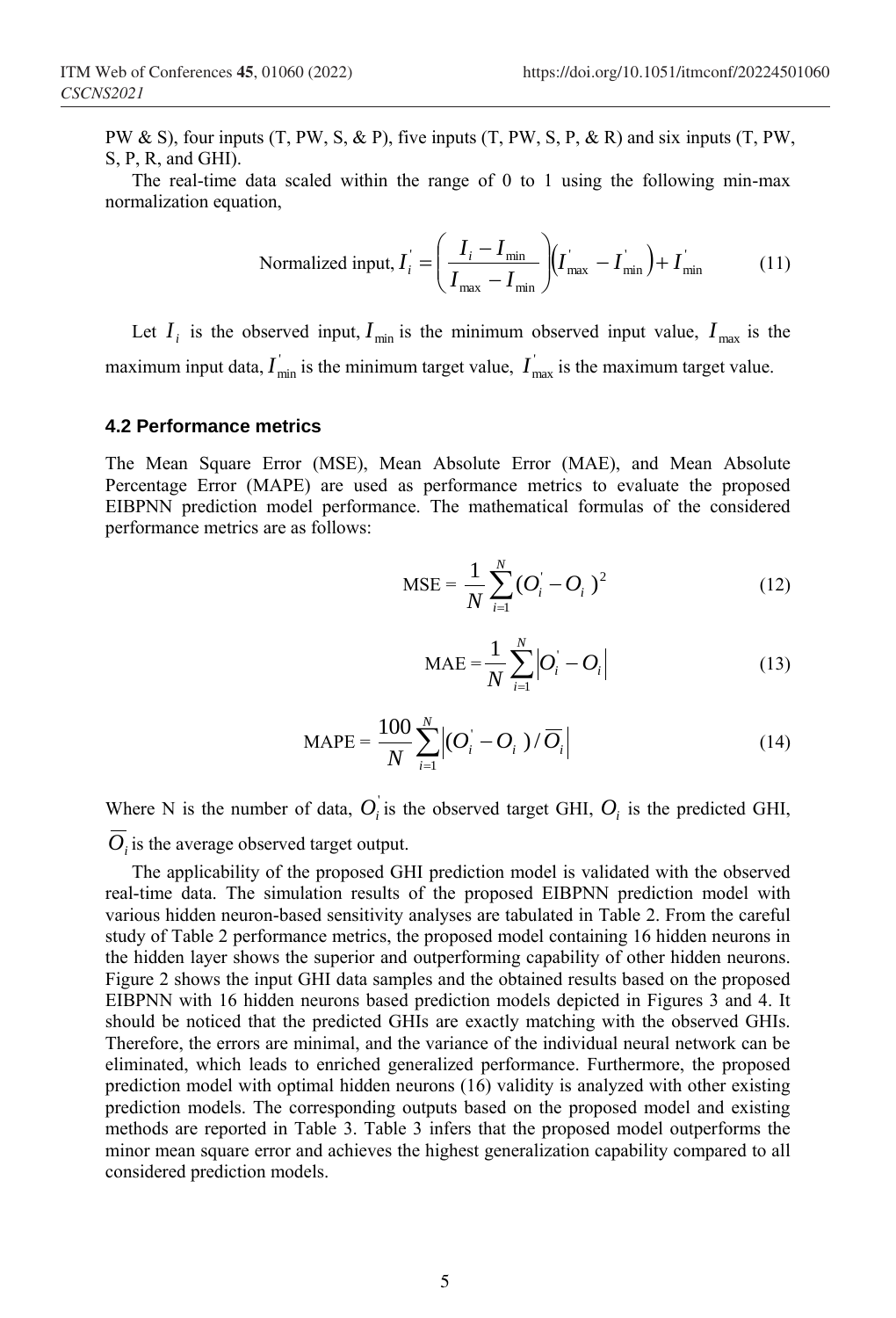PW  $\&$  S), four inputs (T, PW, S,  $\&$  P), five inputs (T, PW, S, P,  $\&$  R) and six inputs (T, PW, S, P, R, and GHI).

The real-time data scaled within the range of 0 to 1 using the following min-max normalization equation,

$$
\text{Normalized input, } I_i = \left(\frac{I_i - I_{\text{min}}}{I_{\text{max}} - I_{\text{min}}}\right) \left(I_{\text{max}} - I_{\text{min}}\right) + I_{\text{min}} \tag{11}
$$

Let  $I_i$  is the observed input,  $I_{\min}$  is the minimum observed input value,  $I_{\max}$  is the maximum input data,  $I_{\min}$  is the minimum target value,  $I_{\max}$  is the maximum target value.

#### **4.2 Performance metrics**

The Mean Square Error (MSE), Mean Absolute Error (MAE), and Mean Absolute Percentage Error (MAPE) are used as performance metrics to evaluate the proposed EIBPNN prediction model performance. The mathematical formulas of the considered performance metrics are as follows:

$$
MSE = \frac{1}{N} \sum_{i=1}^{N} (O_i - O_i)^2
$$
 (12)

$$
MAE = \frac{1}{N} \sum_{i=1}^{N} |O_i - O_i|
$$
 (13)

$$
MAPE = \frac{100}{N} \sum_{i=1}^{N} |(O_i - O_i|) / \overline{O_i}|
$$
 (14)

Where N is the number of data,  $O_i$  is the observed target GHI,  $O_i$  is the predicted GHI,

*Oi* is the average observed target output.

The applicability of the proposed GHI prediction model is validated with the observed real-time data. The simulation results of the proposed EIBPNN prediction model with various hidden neuron-based sensitivity analyses are tabulated in Table 2. From the careful study of Table 2 performance metrics, the proposed model containing 16 hidden neurons in the hidden layer shows the superior and outperforming capability of other hidden neurons. Figure 2 shows the input GHI data samples and the obtained results based on the proposed EIBPNN with 16 hidden neurons based prediction models depicted in Figures 3 and 4. It should be noticed that the predicted GHIs are exactly matching with the observed GHIs. Therefore, the errors are minimal, and the variance of the individual neural network can be eliminated, which leads to enriched generalized performance. Furthermore, the proposed prediction model with optimal hidden neurons (16) validity is analyzed with other existing prediction models. The corresponding outputs based on the proposed model and existing methods are reported in Table 3. Table 3 infers that the proposed model outperforms the minor mean square error and achieves the highest generalization capability compared to all considered prediction models.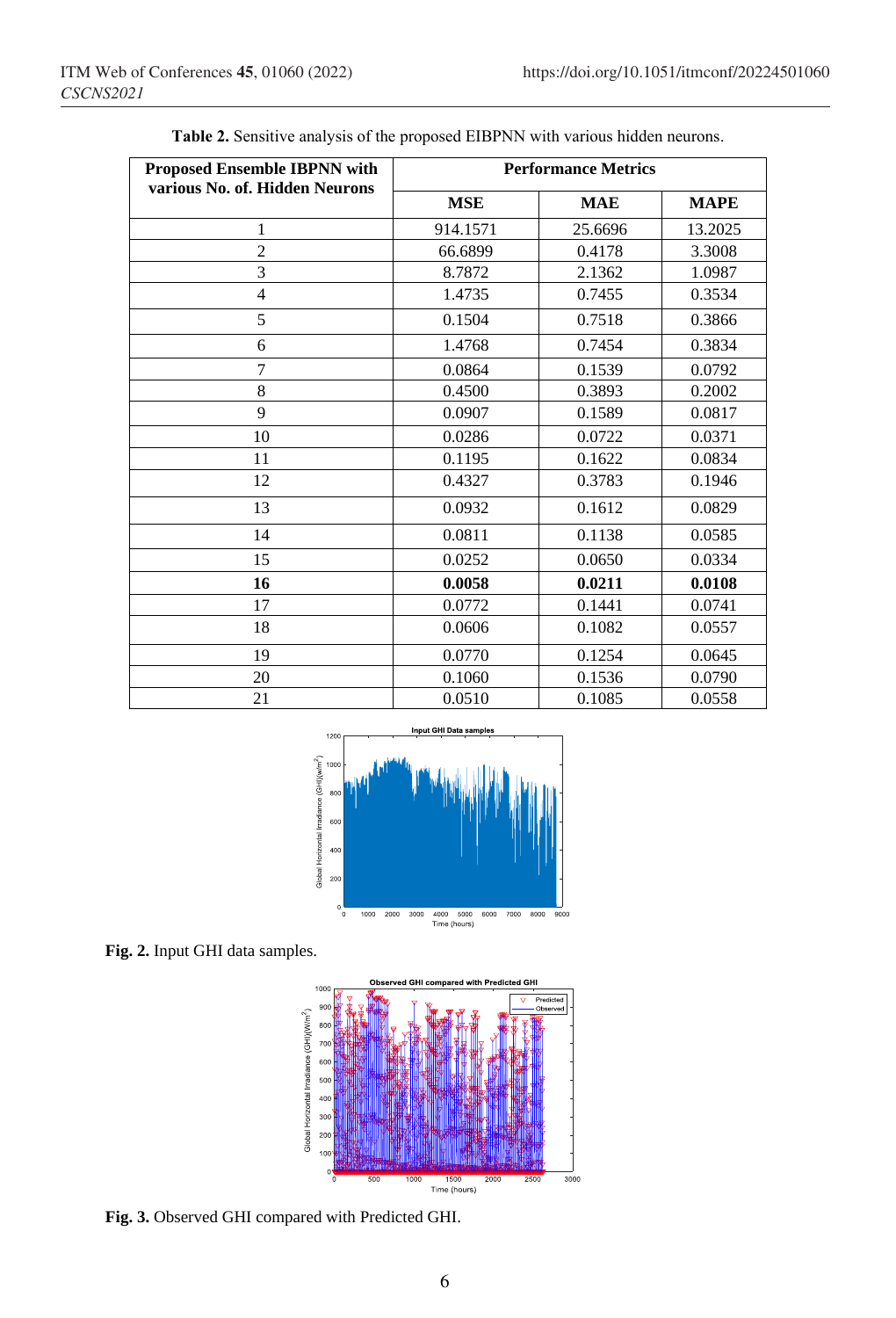| <b>Proposed Ensemble IBPNN with</b><br>various No. of. Hidden Neurons | <b>Performance Metrics</b> |            |             |  |
|-----------------------------------------------------------------------|----------------------------|------------|-------------|--|
|                                                                       | <b>MSE</b>                 | <b>MAE</b> | <b>MAPE</b> |  |
| 1                                                                     | 914.1571                   | 25.6696    | 13.2025     |  |
| $\overline{c}$                                                        | 66.6899                    | 0.4178     | 3.3008      |  |
| 3                                                                     | 8.7872                     | 2.1362     | 1.0987      |  |
| $\overline{4}$                                                        | 1.4735                     | 0.7455     | 0.3534      |  |
| 5                                                                     | 0.1504                     | 0.7518     | 0.3866      |  |
| 6                                                                     | 1.4768                     | 0.7454     | 0.3834      |  |
| 7                                                                     | 0.0864                     | 0.1539     | 0.0792      |  |
| 8                                                                     | 0.4500                     | 0.3893     | 0.2002      |  |
| 9                                                                     | 0.0907                     | 0.1589     | 0.0817      |  |
| 10                                                                    | 0.0286                     | 0.0722     | 0.0371      |  |
| 11                                                                    | 0.1195                     | 0.1622     | 0.0834      |  |
| 12                                                                    | 0.4327                     | 0.3783     | 0.1946      |  |
| 13                                                                    | 0.0932                     | 0.1612     | 0.0829      |  |
| 14                                                                    | 0.0811                     | 0.1138     | 0.0585      |  |
| 15                                                                    | 0.0252                     | 0.0650     | 0.0334      |  |
| 16                                                                    | 0.0058                     | 0.0211     | 0.0108      |  |
| 17                                                                    | 0.0772                     | 0.1441     | 0.0741      |  |
| 18                                                                    | 0.0606                     | 0.1082     | 0.0557      |  |
| 19                                                                    | 0.0770                     | 0.1254     | 0.0645      |  |
| 20                                                                    | 0.1060                     | 0.1536     | 0.0790      |  |
| 21                                                                    | 0.0510                     | 0.1085     | 0.0558      |  |

**Table 2.** Sensitive analysis of the proposed EIBPNN with various hidden neurons.



**Fig. 2.** Input GHI data samples.



**Fig. 3.** Observed GHI compared with Predicted GHI.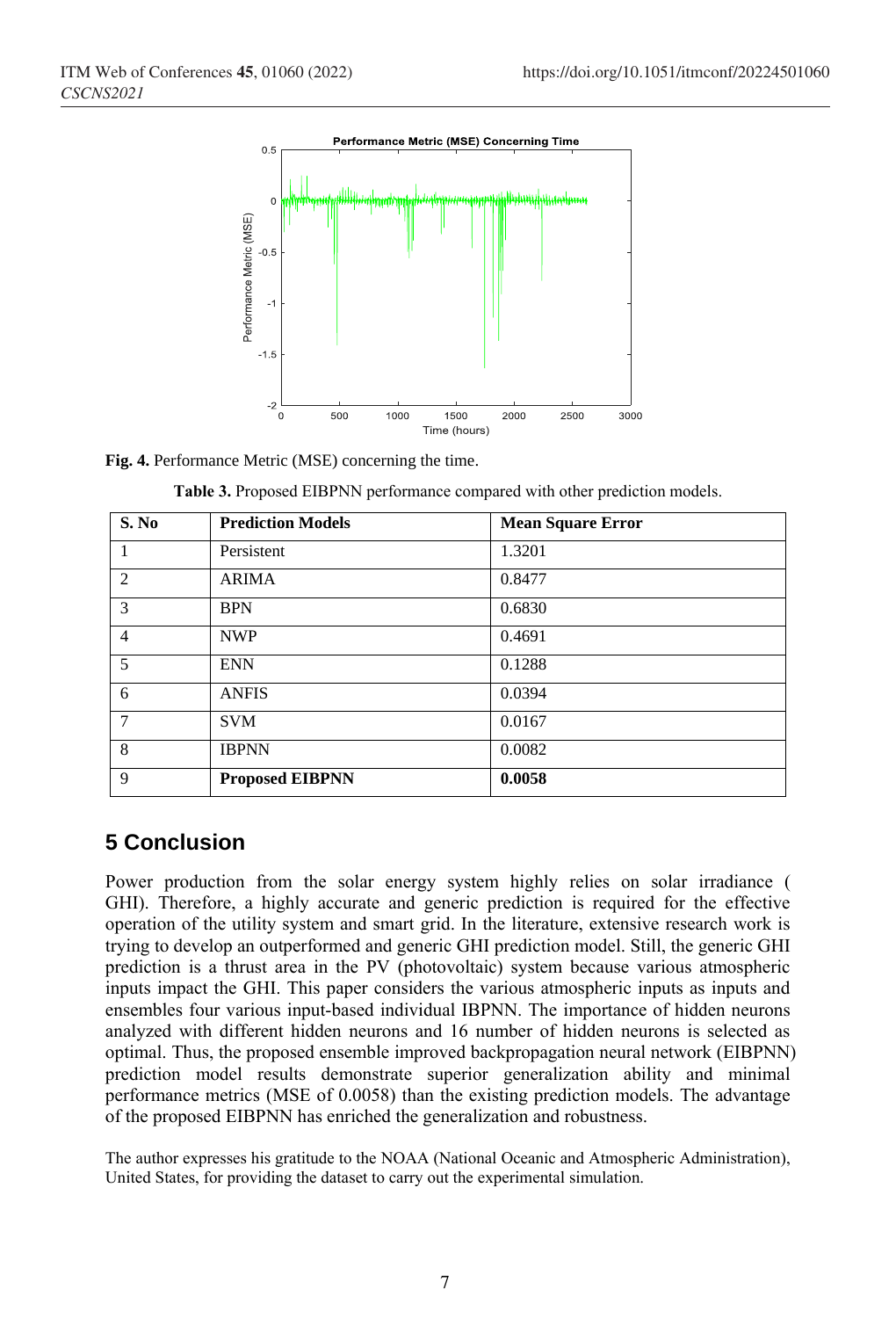

**Fig. 4.** Performance Metric (MSE) concerning the time.

| S. No          | <b>Prediction Models</b> | <b>Mean Square Error</b> |
|----------------|--------------------------|--------------------------|
|                | Persistent               | 1.3201                   |
| 2              | <b>ARIMA</b>             | 0.8477                   |
| 3              | <b>BPN</b>               | 0.6830                   |
| $\overline{4}$ | <b>NWP</b>               | 0.4691                   |
| 5              | <b>ENN</b>               | 0.1288                   |
| 6              | <b>ANFIS</b>             | 0.0394                   |
| 7              | <b>SVM</b>               | 0.0167                   |
| 8              | <b>IBPNN</b>             | 0.0082                   |
| 9              | <b>Proposed EIBPNN</b>   | 0.0058                   |

|  | Table 3. Proposed EIBPNN performance compared with other prediction models. |  |  |
|--|-----------------------------------------------------------------------------|--|--|
|  |                                                                             |  |  |

### **5 Conclusion**

Power production from the solar energy system highly relies on solar irradiance ( GHI). Therefore, a highly accurate and generic prediction is required for the effective operation of the utility system and smart grid. In the literature, extensive research work is trying to develop an outperformed and generic GHI prediction model. Still, the generic GHI prediction is a thrust area in the PV (photovoltaic) system because various atmospheric inputs impact the GHI. This paper considers the various atmospheric inputs as inputs and ensembles four various input-based individual IBPNN. The importance of hidden neurons analyzed with different hidden neurons and 16 number of hidden neurons is selected as optimal. Thus, the proposed ensemble improved backpropagation neural network (EIBPNN) prediction model results demonstrate superior generalization ability and minimal performance metrics (MSE of 0.0058) than the existing prediction models. The advantage of the proposed EIBPNN has enriched the generalization and robustness.

The author expresses his gratitude to the NOAA (National Oceanic and Atmospheric Administration), United States, for providing the dataset to carry out the experimental simulation.